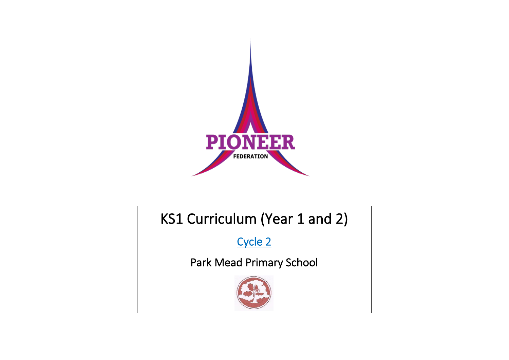

## KS1 Curriculum (Year 1 and 2)

Cycle 2

Park Mead Primary School

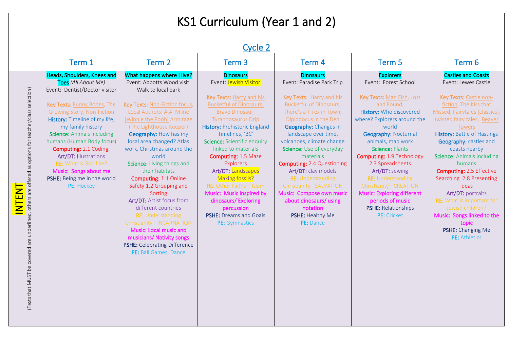## KS1 Curriculum (Year 1 and 2)

|                                                                                                        | Term 1                                                                                                                                                                                                                                                                                                                                                                                                                                   | Term 2                                                                                                                                                                                                                                                                                                                                                                                                                                                                                                                                 | Term <sub>3</sub>                                                                                                                                                                                                                                                                                                                                                                                                                                                                                           | Term 4                                                                                                                                                                                                                                                                                                                                                                                                                                                                                                         | Term 5                                                                                                                                                                                                                                                                                                                                                                                                                                                        | Term 6                                                                                                                                                                                                                                                                                                                                                                                                                                                                                                      |
|--------------------------------------------------------------------------------------------------------|------------------------------------------------------------------------------------------------------------------------------------------------------------------------------------------------------------------------------------------------------------------------------------------------------------------------------------------------------------------------------------------------------------------------------------------|----------------------------------------------------------------------------------------------------------------------------------------------------------------------------------------------------------------------------------------------------------------------------------------------------------------------------------------------------------------------------------------------------------------------------------------------------------------------------------------------------------------------------------------|-------------------------------------------------------------------------------------------------------------------------------------------------------------------------------------------------------------------------------------------------------------------------------------------------------------------------------------------------------------------------------------------------------------------------------------------------------------------------------------------------------------|----------------------------------------------------------------------------------------------------------------------------------------------------------------------------------------------------------------------------------------------------------------------------------------------------------------------------------------------------------------------------------------------------------------------------------------------------------------------------------------------------------------|---------------------------------------------------------------------------------------------------------------------------------------------------------------------------------------------------------------------------------------------------------------------------------------------------------------------------------------------------------------------------------------------------------------------------------------------------------------|-------------------------------------------------------------------------------------------------------------------------------------------------------------------------------------------------------------------------------------------------------------------------------------------------------------------------------------------------------------------------------------------------------------------------------------------------------------------------------------------------------------|
| (Texts that MUST be covered are underlined, others are offered as options for teacher/class selection) | Heads, Shoulders, Knees and<br>Toes (All About Me)<br>Event: Dentist/Doctor visitor<br>Key Texts: Funny Bones, The<br><b>Growing Story, Non-Fiction</b><br>History: Timeline of my life,<br>my family history<br><b>Science: Animals including</b><br>humans (Human Body focus)<br>Computing: 2.1 Coding.<br><b>Art/DT: Illustrations</b><br>RE: What is God like?<br>Music: Songs about me<br>PSHE: Being me in the world<br>PE: Hockey | What happens where I live?<br>Event: Abbotts Wood visit.<br>Walk to local park<br>Key Texts: Non-Fiction focus,<br>Local Authors: A.A. Milne<br>(Winnie the Pooh) Armitage<br>(The Lighthouse Keeper)<br>Geography: How has my<br>local area changed? Atlas<br>work, Christmas around the<br>world<br>Science: Living things and<br>their habitats<br><b>Computing: 1:1 Online</b><br>Safety 1.2 Grouping and<br>Sorting<br>Art/DT: Artist focus from<br>different countries<br><b>RE: Understanding</b><br>Christianity - INCARNATION | <b>Dinosaurs</b><br>Event: Jewish Visitor<br>Key Texts: Harry and his<br><b>Bucketful of Dinosaurs,</b><br>Brave Dinosaur,<br><b>Tyrannosaurus Drip</b><br>History: Prehistoric England<br>Timelines, 'BC'<br>Science: Scientific enquiry<br>linked to materials<br>Computing: 1.5 Maze<br><b>Explorers</b><br>Art/DT: Landscapes<br>Making fossils?<br><b>RE:</b> Other Faiths - Islam<br>Music: Music inspired by<br>dinosaurs/Exploring<br>percussion<br><b>PSHE:</b> Dreams and Goals<br>PE: Gymnastics | <b>Dinosaurs</b><br>Event: Paradise Park Trip<br>Key Texts: Harry and his<br><b>Bucketful of Dinosaurs,</b><br>There's a T-rex in Town,<br>Diplodocus in the Den<br>Geography: Changes in<br>landscape over time,<br>volcanoes, climate change<br>Science: Use of everyday<br>materials<br><b>Computing: 2.4 Questioning</b><br>Art/DT: clay models<br><b>RE: Understanding</b><br>Christianity - SALVATION<br>Music: Compose own music<br>about dinosaurs/ using<br>notation<br>PSHE: Healthy Me<br>PE: Dance | <b>Explorers</b><br>Event: Forest School<br>Key Texts: Man Fish, Lost<br>and Found,<br>History: Who discovered<br>where? Explorers around the<br>world<br><b>Geography: Nocturnal</b><br>animals, map work<br>Science: Plants<br>Computing: 1.9 Technology<br>2.3 Spreadsheets<br>Art/DT: sewing<br><b>RE: Understanding</b><br>Christianity - CREATION<br><b>Music: Exploring different</b><br>periods of music<br><b>PSHE: Relationships</b><br>PE: Cricket | <b>Castles and Coasts</b><br>Event: Lewes Castle<br>Key Texts: Castle non-<br>fiction, The Kiss that<br>Missed, Fairytales (classics),<br>twisted fairy tales, Beaver<br>Towers<br><b>History: Battle of Hastings</b><br>Geography: castles and<br>coasts nearby<br><b>Science: Animals including</b><br>humans<br><b>Computing: 2.5 Effective</b><br>Searching 2.8 Presenting<br>ideas<br>Art/DT: portraits<br><b>RE:</b> What is important for<br>Jewish children?<br>Music: Songs linked to the<br>topic |
|                                                                                                        |                                                                                                                                                                                                                                                                                                                                                                                                                                          | Music: Local music and<br>musicians/ Nativity songs<br>PSHE: Celebrating Difference<br>PE: Ball Games, Dance                                                                                                                                                                                                                                                                                                                                                                                                                           |                                                                                                                                                                                                                                                                                                                                                                                                                                                                                                             |                                                                                                                                                                                                                                                                                                                                                                                                                                                                                                                |                                                                                                                                                                                                                                                                                                                                                                                                                                                               | PSHE: Changing Me<br>PE: Athletics                                                                                                                                                                                                                                                                                                                                                                                                                                                                          |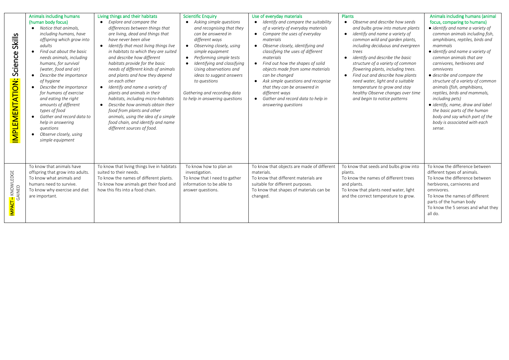| <b>Skills</b><br>Science<br>IMPLEMENTATION: | Animals including humans<br>(human body focus)<br>Notice that animals.<br>including humans, have<br>offspring which grow into<br>adults<br>Find out about the basic<br>$\bullet$<br>needs animals, including<br>humans, for survival<br>(water, food and air)<br>Describe the importance<br>of hygiene<br>Describe the importance<br>for humans of exercise<br>and eating the right<br>amounts of different<br>types of food<br>Gather and record data to<br>help in answering<br>questions<br>Observe closely, using<br>simple equipment | Living things and their habitats<br>Explore and compare the<br>$\bullet$<br>differences between things that<br>are living, dead and things that<br>have never been alive<br>Identify that most living things live<br>in habitats to which they are suited<br>and describe how different<br>habitats provide for the basic<br>needs of different kinds of animals<br>and plants and how they depend<br>on each other<br>• Identify and name a variety of<br>plants and animals in their<br>habitats, including micro-habitats<br>Describe how animals obtain their<br>food from plants and other<br>animals, using the idea of a simple<br>food chain, and identify and name<br>different sources of food. | <b>Scientific Enquiry</b><br>• Asking simple questions<br>and recognising that they<br>can be answered in<br>different ways<br>• Observing closely, using<br>simple equipment<br>• Performing simple tests<br>Identifying and classifying<br>$\bullet$<br>Using observations and<br>ideas to suggest answers<br>to questions<br>Gathering and recording data<br>to help in answering questions | Use of everyday materials<br>Identify and compare the suitability<br>of a variety of everyday materials<br>• Compare the uses of everyday<br>materials<br>Observe closely, identifying and<br>$\bullet$<br>classifying the uses of different<br>materials<br>• Find out how the shapes of solid<br>objects made from some materials<br>can be changed<br>Ask simple questions and recognise<br>that they can be answered in<br>different ways<br>Gather and record data to help in<br>$\bullet$<br>answering questions | <b>Plants</b><br>Observe and describe how seeds<br>$\bullet$<br>and bulbs grow into mature plants<br>• identify and name a variety of<br>common wild and garden plants,<br>including deciduous and evergreen<br>trees<br>identify and describe the basic<br>$\bullet$<br>structure of a variety of common<br>flowering plants, including trees.<br>• Find out and describe how plants<br>need water, light and a suitable<br>temperature to grow and stay<br>healthy Observe changes over time<br>and begin to notice patterns | Animals including humans (animal<br>focus, comparing to humans)<br>• identify and name a variety of<br>common animals including fish,<br>amphibians, reptiles, birds and<br>mammals<br>· identify and name a variety of<br>common animals that are<br>carnivores, herbivores and<br>omnivores<br>• describe and compare the<br>structure of a variety of common<br>animals (fish, amphibians,<br>reptiles, birds and mammals,<br>including pets)<br>• identify, name, draw and label<br>the basic parts of the human<br>body and say which part of the<br>body is associated with each<br>sense. |
|---------------------------------------------|-------------------------------------------------------------------------------------------------------------------------------------------------------------------------------------------------------------------------------------------------------------------------------------------------------------------------------------------------------------------------------------------------------------------------------------------------------------------------------------------------------------------------------------------|-----------------------------------------------------------------------------------------------------------------------------------------------------------------------------------------------------------------------------------------------------------------------------------------------------------------------------------------------------------------------------------------------------------------------------------------------------------------------------------------------------------------------------------------------------------------------------------------------------------------------------------------------------------------------------------------------------------|------------------------------------------------------------------------------------------------------------------------------------------------------------------------------------------------------------------------------------------------------------------------------------------------------------------------------------------------------------------------------------------------|------------------------------------------------------------------------------------------------------------------------------------------------------------------------------------------------------------------------------------------------------------------------------------------------------------------------------------------------------------------------------------------------------------------------------------------------------------------------------------------------------------------------|--------------------------------------------------------------------------------------------------------------------------------------------------------------------------------------------------------------------------------------------------------------------------------------------------------------------------------------------------------------------------------------------------------------------------------------------------------------------------------------------------------------------------------|--------------------------------------------------------------------------------------------------------------------------------------------------------------------------------------------------------------------------------------------------------------------------------------------------------------------------------------------------------------------------------------------------------------------------------------------------------------------------------------------------------------------------------------------------------------------------------------------------|
| <mark>IMPACT –</mark> KNOWLEDGE<br>GAINED   | To know that animals have<br>offspring that grow into adults.<br>To know what animals and<br>humans need to survive.<br>To know why exercise and diet<br>are important.                                                                                                                                                                                                                                                                                                                                                                   | To know that living things live in habitats<br>suited to their needs.<br>To know the names of different plants.<br>To know how animals get their food and<br>how this fits into a food chain.                                                                                                                                                                                                                                                                                                                                                                                                                                                                                                             | To know how to plan an<br>investigation.<br>To know that I need to gather<br>information to be able to<br>answer questions.                                                                                                                                                                                                                                                                    | To know that objects are made of different<br>materials.<br>To know that different materials are<br>suitable for different purposes.<br>To know that shapes of materials can be<br>changed.                                                                                                                                                                                                                                                                                                                            | To know that seeds and bulbs grow into<br>plants.<br>To know the names of different trees<br>and plants.<br>To know that plants need water, light<br>and the correct temperature to grow.                                                                                                                                                                                                                                                                                                                                      | To know the difference between<br>different types of animals.<br>To know the difference between<br>herbivores, carnivores and<br>omnivores.<br>To know the names of different<br>parts of the human body<br>To know the 5 senses and what they<br>all do.                                                                                                                                                                                                                                                                                                                                        |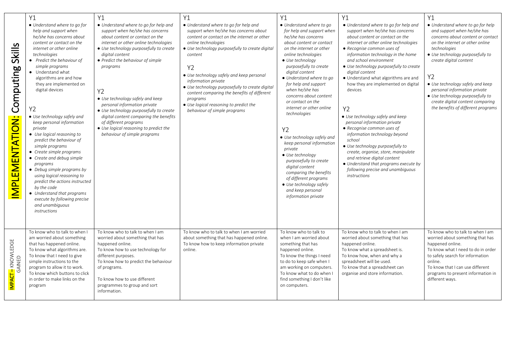| Skills<br>Computing<br><b>MPLEMENTATION:</b> | Y1<br>• Understand where to go for<br>help and support when<br>he/she has concerns about<br>content or contact on the<br>internet or other online<br>technologies<br>• Predict the behaviour of<br>simple programs<br>• Understand what<br>algorithms are and how<br>they are implemented on<br>digital devices<br>Y2<br>• Use technology safely and<br>keep personal information<br>private<br>• Use logical reasoning to<br>predict the behaviour of<br>simple programs<br>• Create simple programs<br>• Create and debug simple<br>programs<br>• Debug simple programs by<br>using logical reasoning to<br>predict the actions instructed<br>by the code<br>• Understand that programs<br>execute by following precise<br>and unambiguous<br>instructions | Y1<br>• Understand where to go for help and<br>support when he/she has concerns<br>about content or contact on the<br>internet or other online technologies<br>• Use technology purposefully to create<br>digital content<br>• Predict the behaviour of simple<br>programs<br>Y2<br>• Use technology safely and keep<br>personal information private<br>• Use technology purposefully to create<br>digital content comparing the benefits<br>of different programs<br>• Use logical reasoning to predict the<br>behaviour of simple programs | Y1<br>• Understand where to go for help and<br>support when he/she has concerns about<br>content or contact on the internet or other<br>online technologies<br>• Use technology purposefully to create digital<br>content<br><b>Y2</b><br>• Use technology safely and keep personal<br>information private<br>• Use technology purposefully to create digital<br>content comparing the benefits of different<br>programs<br>• Use logical reasoning to predict the<br>behaviour of simple programs | Y1<br>• Understand where to go<br>for help and support when<br>he/she has concerns<br>about content or contact<br>on the internet or other<br>online technologies<br>• Use technology<br>purposefully to create<br>digital content<br>• Understand where to go<br>for help and support<br>when he/she has<br>concerns about content<br>or contact on the<br>internet or other online<br>technologies<br>Y2<br>• Use technology safely and<br>keep personal information<br>private<br>• Use technology<br>purposefully to create<br>digital content<br>comparing the benefits<br>of different programs<br>• Use technology safely<br>and keep personal<br>information private | Y1<br>• Understand where to go for help and<br>support when he/she has concerns<br>about content or contact on the<br>internet or other online technologies<br>• Recognise common uses of<br>information technology in the home<br>and school environment<br>• Use technology purposefully to create<br>digital content<br>• Understand what algorithms are and<br>how they are implemented on digital<br>devices<br>Y <sub>2</sub><br>• Use technology safely and keep<br>personal information private<br>• Recognise common uses of<br>information technology beyond<br>school<br>• Use technology purposefully to<br>create, organise, store, manipulate<br>and retrieve digital content<br>• Understand that programs execute by<br>following precise and unambiguous<br><i>instructions</i> | Y1<br>• Understand where to go for help<br>and support when he/she has<br>concerns about content or contact<br>on the internet or other online<br>technologies<br>• Use technology purposefully to<br>create digital content<br>Y2<br>• Use technology safely and keep<br>personal information private<br>• Use technology purposefully to<br>create digital content comparing<br>the benefits of different programs |
|----------------------------------------------|--------------------------------------------------------------------------------------------------------------------------------------------------------------------------------------------------------------------------------------------------------------------------------------------------------------------------------------------------------------------------------------------------------------------------------------------------------------------------------------------------------------------------------------------------------------------------------------------------------------------------------------------------------------------------------------------------------------------------------------------------------------|----------------------------------------------------------------------------------------------------------------------------------------------------------------------------------------------------------------------------------------------------------------------------------------------------------------------------------------------------------------------------------------------------------------------------------------------------------------------------------------------------------------------------------------------|----------------------------------------------------------------------------------------------------------------------------------------------------------------------------------------------------------------------------------------------------------------------------------------------------------------------------------------------------------------------------------------------------------------------------------------------------------------------------------------------------|------------------------------------------------------------------------------------------------------------------------------------------------------------------------------------------------------------------------------------------------------------------------------------------------------------------------------------------------------------------------------------------------------------------------------------------------------------------------------------------------------------------------------------------------------------------------------------------------------------------------------------------------------------------------------|--------------------------------------------------------------------------------------------------------------------------------------------------------------------------------------------------------------------------------------------------------------------------------------------------------------------------------------------------------------------------------------------------------------------------------------------------------------------------------------------------------------------------------------------------------------------------------------------------------------------------------------------------------------------------------------------------------------------------------------------------------------------------------------------------|----------------------------------------------------------------------------------------------------------------------------------------------------------------------------------------------------------------------------------------------------------------------------------------------------------------------------------------------------------------------------------------------------------------------|
| <mark>IMPACT –</mark> KNOWLEDGE<br>GAINED    | To know who to talk to when I<br>am worried about something<br>that has happened online.<br>To know what algorithms are.<br>To know that I need to give<br>simple instructions to the<br>program to allow it to work.<br>To know which buttons to click<br>in order to make links on the<br>program                                                                                                                                                                                                                                                                                                                                                                                                                                                          | To know who to talk to when I am<br>worried about something that has<br>happened online.<br>To know how to use technology for<br>different purposes.<br>To know how to predict the behaviour<br>of programs.<br>To know how to use different<br>programmes to group and sort<br>information.                                                                                                                                                                                                                                                 | To know who to talk to when I am worried<br>about something that has happened online.<br>To know how to keep information private<br>online.                                                                                                                                                                                                                                                                                                                                                        | To know who to talk to<br>when I am worried about<br>something that has<br>happened online.<br>To know the things I need<br>to do to keep safe when I<br>am working on computers.<br>To know what to do when I<br>find something I don't like<br>on computers.                                                                                                                                                                                                                                                                                                                                                                                                               | To know who to talk to when I am<br>worried about something that has<br>happened online.<br>To know what a spreadsheet is.<br>To know how, when and why a<br>spreadsheet will be used.<br>To know that a spreadsheet can<br>organise and store information.                                                                                                                                                                                                                                                                                                                                                                                                                                                                                                                                      | To know who to talk to when I am<br>worried about something that has<br>happened online.<br>To know what I need to do in order<br>to safely search for information<br>online.<br>To know that I can use different<br>programs to present information in<br>different ways.                                                                                                                                           |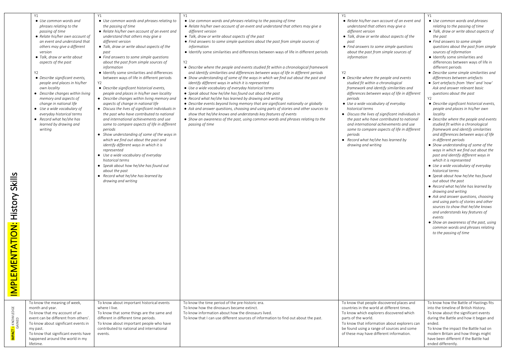|                                                               | <b>Y1</b>                                                                                                                                                                                                                                                                                                                                                                                                                                                                                                                                           | <b>Y1</b>                                                                                                                                                                                                                                                                                                                                                                                                                                                                                                                                                                                                                                                                                                                                                                                                                                                                                                                                                                                                                                                                                                                                                          | Y1                                                                                                                                                                                                                                                                                                                                                                                                                                                                                                                                                                                                                                                                                                                                                                                                                                                                                                                                                                                                                                                                                                                                                                                                                                                                                | <b>Y1</b>                                                                                                                                                                                                                                                                                                                                                                                                                                                                                                                                                                                                                                                                                                                                                                                    | <b>Y1</b>                                                                                                                                                                                                                                                                                                                                                                                                                                                                                                                                                                                                                                                                                                                                                                                                                                                                                                                                                                                                                                                                                                                                                                                                                                                                                                                                                                                                               |
|---------------------------------------------------------------|-----------------------------------------------------------------------------------------------------------------------------------------------------------------------------------------------------------------------------------------------------------------------------------------------------------------------------------------------------------------------------------------------------------------------------------------------------------------------------------------------------------------------------------------------------|--------------------------------------------------------------------------------------------------------------------------------------------------------------------------------------------------------------------------------------------------------------------------------------------------------------------------------------------------------------------------------------------------------------------------------------------------------------------------------------------------------------------------------------------------------------------------------------------------------------------------------------------------------------------------------------------------------------------------------------------------------------------------------------------------------------------------------------------------------------------------------------------------------------------------------------------------------------------------------------------------------------------------------------------------------------------------------------------------------------------------------------------------------------------|-----------------------------------------------------------------------------------------------------------------------------------------------------------------------------------------------------------------------------------------------------------------------------------------------------------------------------------------------------------------------------------------------------------------------------------------------------------------------------------------------------------------------------------------------------------------------------------------------------------------------------------------------------------------------------------------------------------------------------------------------------------------------------------------------------------------------------------------------------------------------------------------------------------------------------------------------------------------------------------------------------------------------------------------------------------------------------------------------------------------------------------------------------------------------------------------------------------------------------------------------------------------------------------|----------------------------------------------------------------------------------------------------------------------------------------------------------------------------------------------------------------------------------------------------------------------------------------------------------------------------------------------------------------------------------------------------------------------------------------------------------------------------------------------------------------------------------------------------------------------------------------------------------------------------------------------------------------------------------------------------------------------------------------------------------------------------------------------|-------------------------------------------------------------------------------------------------------------------------------------------------------------------------------------------------------------------------------------------------------------------------------------------------------------------------------------------------------------------------------------------------------------------------------------------------------------------------------------------------------------------------------------------------------------------------------------------------------------------------------------------------------------------------------------------------------------------------------------------------------------------------------------------------------------------------------------------------------------------------------------------------------------------------------------------------------------------------------------------------------------------------------------------------------------------------------------------------------------------------------------------------------------------------------------------------------------------------------------------------------------------------------------------------------------------------------------------------------------------------------------------------------------------------|
| <b>Skills</b><br>History !<br>EMENTATION:<br>一<br><b>SINI</b> | • Use common words and<br>phrases relating to the<br>passing of time<br>• Relate his/her own account of<br>an event and understand that<br>others may give a different<br>version<br>• Talk, draw or write about<br>aspects of the past<br>Y2<br>• Describe significant events,<br>people and places in his/her<br>own locality<br>• Describe changes within living<br>memory and aspects of<br>change in national life<br>• Use a wide vocabulary of<br>everyday historical terms<br>• Record what he/she has<br>learned by drawing and<br>writing | • Use common words and phrases relating to<br>the passing of time<br>• Relate his/her own account of an event and<br>understand that others may give a<br>different version<br>• Talk, draw or write about aspects of the<br>past<br>• Find answers to some simple questions<br>about the past from simple sources of<br>information<br>· Identify some similarities and differences<br>between ways of life in different periods<br>Y2<br>• Describe significant historical events,<br>people and places in his/her own locality<br>• Describe changes within living memory and<br>aspects of change in national life<br>• Discuss the lives of significant individuals in<br>the past who have contributed to national<br>and international achievements and use<br>some to compare aspects of life in different<br>periods<br>• Show understanding of some of the ways in<br>which we find out about the past and<br>identify different ways in which it is<br>represented<br>• Use a wide vocabulary of everyday<br>historical terms<br>• Speak about how he/she has found out<br>about the past<br>• Record what he/she has learned by<br>drawing and writing | • Use common words and phrases relating to the passing of time<br>• Relate his/her own account of an event and understand that others may give a<br>different version<br>• Talk, draw or write about aspects of the past<br>• Find answers to some simple questions about the past from simple sources of<br>information<br>· Identify some similarities and differences between ways of life in different periods<br>Y2<br>• Describe where the people and events studied fit within a chronological framework<br>and identify similarities and differences between ways of life in different periods<br>• Show understanding of some of the ways in which we find out about the past and<br>identify different ways in which it is represented<br>• Use a wide vocabulary of everyday historical terms<br>• Speak about how he/she has found out about the past<br>• Record what he/she has learned by drawing and writing<br>• Describe events beyond living memory that are significant nationally or globally<br>• Ask and answer questions, choosing and using parts of stories and other sources to<br>show that he/she knows and understands key features of events<br>• Show an awareness of the past, using common words and phrases relating to the<br>passing of time | • Relate his/her own account of an event and<br>understand that others may give a<br>different version<br>• Talk, draw or write about aspects of the<br>past<br>• Find answers to some simple questions<br>about the past from simple sources of<br>information<br>Y2<br>• Describe where the people and events<br>studied fit within a chronological<br>framework and identify similarities and<br>differences between ways of life in different<br>periods<br>• Use a wide vocabulary of everyday<br>historical terms<br>• Discuss the lives of significant individuals in<br>the past who have contributed to national<br>and international achievements and use<br>some to compare aspects of life in different<br>periods<br>• Record what he/she has learned by<br>drawing and writing | • Use common words and phrases<br>relating to the passing of time<br>• Talk, draw or write about aspects of<br>the past<br>• Find answers to some simple<br>questions about the past from simple<br>sources of information<br>· Identify some similarities and<br>differences between ways of life in<br>different periods<br>• Describe some simple similarities and<br>differences between artefacts<br>• Sort artefacts from 'then' and 'now'<br>Ask and answer relevant basic<br>questions about the past<br>Y2<br>• Describe significant historical events,<br>people and places in his/her own<br>locality<br>• Describe where the people and events<br>studied fit within a chronological<br>framework and identify similarities<br>and differences between ways of life<br>in different periods<br>• Show understanding of some of the<br>ways in which we find out about the<br>past and identify different ways in<br>which it is represented<br>• Use a wide vocabulary of everyday<br>historical terms<br>• Speak about how he/she has found<br>out about the past<br>• Record what he/she has learned by<br>drawing and writing<br>• Ask and answer questions, choosing<br>and using parts of stories and other<br>sources to show that he/she knows<br>and understands key features of<br>events<br>• Show an awareness of the past, using<br>common words and phrases relating<br>to the passing of time |
| <mark>IMPACT –</mark> KNOWLEDGE<br>GAINED                     | To know the meaning of week,<br>month and year.<br>To know that my account of an<br>event can be different from others'.<br>To know about significant events in<br>my past.<br>To know that significant events have<br>happened around the world in my<br>lifetime.                                                                                                                                                                                                                                                                                 | To know about important historical events<br>where I live.<br>To know that some things are the same and<br>different in different time periods.<br>To know about important people who have<br>contributed to national and international<br>events.                                                                                                                                                                                                                                                                                                                                                                                                                                                                                                                                                                                                                                                                                                                                                                                                                                                                                                                 | To know the time period of the pre-historic era.<br>To know how the dinosaurs became extinct.<br>To know information about how the dinosaurs lived.<br>To know that I can use different sources of information to find out about the past.                                                                                                                                                                                                                                                                                                                                                                                                                                                                                                                                                                                                                                                                                                                                                                                                                                                                                                                                                                                                                                        | To know that people discovered places and<br>countries in the world at different times.<br>To know which explorers discovered which<br>parts of the world.<br>To know that information about explorers can<br>be found using a range of sources and some<br>of these may have different information.                                                                                                                                                                                                                                                                                                                                                                                                                                                                                         | To know how the Battle of Hastings fits<br>into the timeline of British History.<br>To know about the significant events<br>during the Battle and how it began and<br>ended.<br>To know the impact the Battle had on<br>modern Britain and how things might<br>have been different if the Battle had<br>ended differently.                                                                                                                                                                                                                                                                                                                                                                                                                                                                                                                                                                                                                                                                                                                                                                                                                                                                                                                                                                                                                                                                                              |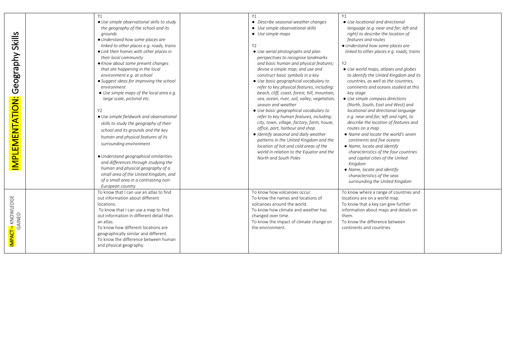| Skills<br>Geography<br>IMPLEMENTATION:    | Y1<br>• Use simple observational skills to study<br>the geography of the school and its<br>grounds<br>• Understand how some places are<br>linked to other places e.g. roads, trains<br>• Link their homes with other places in<br>their local community<br>• Know about some present changes<br>that are happening in the local<br>environment e.g. at school<br>• Suggest ideas for improving the school<br>environment<br>• Use simple maps of the local area e.g.<br>large scale, pictorial etc.<br>Y2<br>• Use simple fieldwork and observational<br>skills to study the geography of their<br>school and its grounds and the key<br>human and physical features of its<br>surrounding environment<br>• Understand geographical similarities<br>and differences through studying the<br>human and physical geography of a<br>small area of the United Kingdom, and<br>of a small area in a contrasting non-<br>European country | Y1<br>• Describe seasonal weather changes<br>• Use simple observational skills<br>• Use simple maps<br>Y2<br>• Use aerial photographs and plan<br>perspectives to recognise landmarks<br>and basic human and physical features;<br>devise a simple map; and use and<br>construct basic symbols in a key<br>• Use basic geographical vocabulary to<br>refer to key physical features, including:<br>beach, cliff, coast, forest, hill, mountain,<br>sea, ocean, river, soil, valley, vegetation,<br>season and weather<br>• Use basic geographical vocabulary to<br>refer to key human features, including:<br>city, town, village, factory, farm, house,<br>office, port, harbour and shop<br>· Identify seasonal and daily weather<br>patterns in the United Kingdom and the<br>location of hot and cold areas of the<br>world in relation to the Equator and the<br>North and South Poles | Y1<br>• Use locational and directional<br>language (e.g. near and far; left and<br>right) to describe the location of<br>features and routes<br>• Understand how some places are<br>linked to other places e.g. roads, trains<br>Y <sub>2</sub><br>• Use world maps, atlases and globes<br>to identify the United Kingdom and its<br>countries, as well as the countries,<br>continents and oceans studied at this<br>key stage<br>• Use simple compass directions<br>(North, South, East and West) and<br>locational and directional language<br>e.g. near and far; left and right, to<br>describe the location of features and<br>routes on a map<br>• Name and locate the world's seven<br>continents and five oceans<br>• Name, locate and identify<br>characteristics of the four countries<br>and capital cities of the United<br>Kingdom<br>• Name, locate and identify<br>characteristics of the seas<br>surrounding the United Kingdom |
|-------------------------------------------|-------------------------------------------------------------------------------------------------------------------------------------------------------------------------------------------------------------------------------------------------------------------------------------------------------------------------------------------------------------------------------------------------------------------------------------------------------------------------------------------------------------------------------------------------------------------------------------------------------------------------------------------------------------------------------------------------------------------------------------------------------------------------------------------------------------------------------------------------------------------------------------------------------------------------------------|---------------------------------------------------------------------------------------------------------------------------------------------------------------------------------------------------------------------------------------------------------------------------------------------------------------------------------------------------------------------------------------------------------------------------------------------------------------------------------------------------------------------------------------------------------------------------------------------------------------------------------------------------------------------------------------------------------------------------------------------------------------------------------------------------------------------------------------------------------------------------------------------|-------------------------------------------------------------------------------------------------------------------------------------------------------------------------------------------------------------------------------------------------------------------------------------------------------------------------------------------------------------------------------------------------------------------------------------------------------------------------------------------------------------------------------------------------------------------------------------------------------------------------------------------------------------------------------------------------------------------------------------------------------------------------------------------------------------------------------------------------------------------------------------------------------------------------------------------------|
| <mark>Impact -</mark> Knowledge<br>Gained | To know that I can use an atlas to find<br>out information about different<br>locations.<br>To know that I can use a map to find<br>out information in different detail than<br>an atlas.<br>To know how different locations are<br>geographically similar and different.<br>To know the difference between human<br>and physical geography.                                                                                                                                                                                                                                                                                                                                                                                                                                                                                                                                                                                        | To know how volcanoes occur.<br>To know the names and locations of<br>volcanoes around the world.<br>To know how climate and weather has<br>changed over time.<br>To know the impact of climate change on<br>the environment.                                                                                                                                                                                                                                                                                                                                                                                                                                                                                                                                                                                                                                                               | To know where a range of countries and<br>locations are on a world map.<br>To know that a key can give further<br>information about maps and details on<br>them.<br>To know the difference between<br>continents and countries.                                                                                                                                                                                                                                                                                                                                                                                                                                                                                                                                                                                                                                                                                                                 |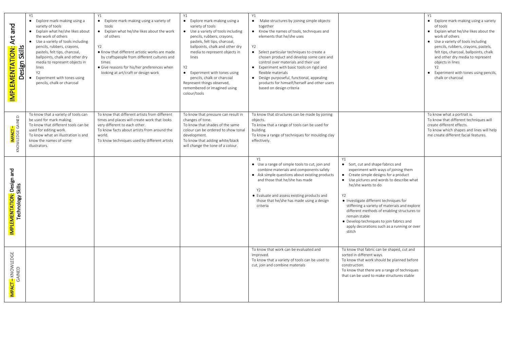| and<br><b>IMPLEMENTATION: Art</b><br><b>Skills</b><br>Design  | Y1<br>• Explore mark-making using a<br>variety of tools<br>• Explain what he/she likes about<br>the work of others<br>Use a variety of tools including<br>pencils, rubbers, crayons,<br>pastels, felt tips, charcoal,<br>ballpoints, chalk and other dry<br>media to represent objects in<br>lines<br>Y <sub>2</sub><br>Experiment with tones using<br>pencils, chalk or charcoal | Y1<br>• Explore mark-making using a variety of<br>tools<br>• Explain what he/she likes about the work<br>of others<br>Y2<br>• Know that different artistic works are made<br>by craftspeople from different cultures and<br>times<br>· Give reasons for his/her preferences when<br>looking at art/craft or design work | Y1<br>• Explore mark-making using a<br>variety of tools<br>• Use a variety of tools including<br>pencils, rubbers, crayons,<br>pastels, felt tips, charcoal,<br>ballpoints, chalk and other dry<br>media to represent objects in<br>lines<br>Y2<br>• Experiment with tones using<br>pencils, chalk or charcoal<br>Represent things observed,<br>remembered or imagined using<br>colour/tools | <b>Y1</b><br>Make structures by joining simple objects<br>$\bullet$<br>together<br>• Know the names of tools, techniques and<br>elements that he/she uses<br><b>Y2</b><br>• Select particular techniques to create a<br>chosen product and develop some care and<br>control over materials and their use<br>• Experiment with basic tools on rigid and<br>flexible materials<br>• Design purposeful, functional, appealing<br>products for himself/herself and other users<br>based on design criteria |                                                                                                                                                                                                                                                                                                                                                                                                                                                                   | Y1<br>• Explore mark-making using a variety<br>of tools<br>• Explain what he/she likes about the<br>work of others<br>• Use a variety of tools including<br>pencils, rubbers, crayons, pastels,<br>felt tips, charcoal, ballpoints, chalk<br>and other dry media to represent<br>objects in lines<br>Y2<br>Experiment with tones using pencils,<br>$\bullet$<br>chalk or charcoal |
|---------------------------------------------------------------|-----------------------------------------------------------------------------------------------------------------------------------------------------------------------------------------------------------------------------------------------------------------------------------------------------------------------------------------------------------------------------------|-------------------------------------------------------------------------------------------------------------------------------------------------------------------------------------------------------------------------------------------------------------------------------------------------------------------------|----------------------------------------------------------------------------------------------------------------------------------------------------------------------------------------------------------------------------------------------------------------------------------------------------------------------------------------------------------------------------------------------|--------------------------------------------------------------------------------------------------------------------------------------------------------------------------------------------------------------------------------------------------------------------------------------------------------------------------------------------------------------------------------------------------------------------------------------------------------------------------------------------------------|-------------------------------------------------------------------------------------------------------------------------------------------------------------------------------------------------------------------------------------------------------------------------------------------------------------------------------------------------------------------------------------------------------------------------------------------------------------------|-----------------------------------------------------------------------------------------------------------------------------------------------------------------------------------------------------------------------------------------------------------------------------------------------------------------------------------------------------------------------------------|
| <mark>IMPACT –</mark><br>KNOWLEDGE GAINED                     | To know that a variety of tools can<br>be used for mark making.<br>To know that different tools can be<br>used for editing work.<br>To know what an illustration is and<br>know the names of some<br>illustrators.                                                                                                                                                                | To know that different artists from different<br>times and places will create work that looks<br>very different to each other.<br>To know facts about artists from around the<br>world.<br>To know techniques used by different artists                                                                                 | To know that pressure can result in<br>changes of tone.<br>To know that shades of the same<br>colour can be ordered to show tonal<br>development.<br>To know that adding white/black<br>will change the tone of a colour.                                                                                                                                                                    | To know that structures can be made by joining<br>obiects.<br>To know that a range of tools can be used for<br>building.<br>To know a range of techniques for moulding clay<br>effectively.                                                                                                                                                                                                                                                                                                            |                                                                                                                                                                                                                                                                                                                                                                                                                                                                   | To know what a portrait is.<br>To know that different techniques will<br>create different effects.<br>To know which shapes and lines will help<br>me create different facial features.                                                                                                                                                                                            |
| I <mark>MPLEMENTATION:</mark> Design and<br>Technology Skills |                                                                                                                                                                                                                                                                                                                                                                                   |                                                                                                                                                                                                                                                                                                                         |                                                                                                                                                                                                                                                                                                                                                                                              | <b>Y1</b><br>• Use a range of simple tools to cut, join and<br>combine materials and components safely<br>• Ask simple questions about existing products<br>and those that he/she has made<br><b>Y2</b><br>• Evaluate and assess existing products and<br>those that he/she has made using a design<br>criteria                                                                                                                                                                                        | Y1<br>• Sort, cut and shape fabrics and<br>experiment with ways of joining them<br>• Create simple designs for a product<br>• Use pictures and words to describe what<br>he/she wants to do<br>Y2<br>• Investigate different techniques for<br>stiffening a variety of materials and explore<br>different methods of enabling structures to<br>remain stable<br>• Develop techniques to join fabrics and<br>apply decorations such as a running or over<br>stitch |                                                                                                                                                                                                                                                                                                                                                                                   |
| <mark>IMPACT –</mark> KNOWLEDGE<br>GAINED                     |                                                                                                                                                                                                                                                                                                                                                                                   |                                                                                                                                                                                                                                                                                                                         |                                                                                                                                                                                                                                                                                                                                                                                              | To know that work can be evaluated and<br>improved.<br>To know that a variety of tools can be used to<br>cut, join and combine materials                                                                                                                                                                                                                                                                                                                                                               | To know that fabric can be shaped, cut and<br>sorted in different ways.<br>To know that work should be planned before<br>construction.<br>To know that there are a range of techniques<br>that can be used to make structures stable                                                                                                                                                                                                                              |                                                                                                                                                                                                                                                                                                                                                                                   |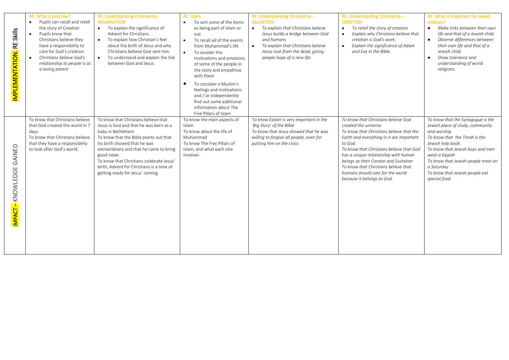| <b>Skills</b><br>RΕ<br>IMPLEMENTATION: | <b>RE: What is God like?</b><br>Pupils can recall and retell<br>$\bullet$<br>the story of Creation<br>Pupils know that<br>$\bullet$<br>Christians believe they<br>have a responsibility to<br>care for God's creation<br>Christians believe God's<br>relationship to people is as<br>a loving parent | RE: Understanding Christianity -<br><b>INCARNATION</b><br>To explain the significance of<br>$\bullet$<br>Advent for Christians.<br>To explain how Christian's feel<br>about the birth of Jesus and why<br>Christians believe God sent him.<br>To understand and explain the link<br>between God and Jesus.                                                        | <b>RE: Islam</b><br>To sort some of the items<br>$\bullet$<br>as being part of Islam or<br>not<br>To recall all of the events<br>$\bullet$<br>from Muhammad's life<br>To onsider the<br>$\bullet$<br>motivations and emotions<br>of some of the people in<br>the story and empathise<br>with them<br>To consider a Muslim's<br>$\bullet$<br>feelings and motivations<br>and / or independently<br>find out some additional<br>information about The<br>Five Pillars of Islam | RE: Understanding Christianity -<br><b>SALVATION</b><br>To explain that Christians believe<br>$\bullet$<br>Jesus builds a bridge between God<br>and humans<br>To explain that Christians believe<br>Jesus rose from the dead, giving<br>people hope of a new life. | RE: Understanding Christianity -<br><b>CREATION</b><br>To retell the story of creation<br>$\bullet$<br>Explain why Christians believe that<br>$\bullet$<br>creation is God's work.<br>Explain the significance of Adam<br>$\bullet$<br>and Fve in the Bible.                                                                                                                                          | RE: What is important for Jewish<br>children?<br>• Make links between their own<br>life and that of a Jewish child.<br>Observe differences between<br>$\bullet$<br>their own life and that of a<br>Jewish child.<br>Show tolerance and<br>$\bullet$<br>understanding of world<br>religions.          |
|----------------------------------------|------------------------------------------------------------------------------------------------------------------------------------------------------------------------------------------------------------------------------------------------------------------------------------------------------|-------------------------------------------------------------------------------------------------------------------------------------------------------------------------------------------------------------------------------------------------------------------------------------------------------------------------------------------------------------------|------------------------------------------------------------------------------------------------------------------------------------------------------------------------------------------------------------------------------------------------------------------------------------------------------------------------------------------------------------------------------------------------------------------------------------------------------------------------------|--------------------------------------------------------------------------------------------------------------------------------------------------------------------------------------------------------------------------------------------------------------------|-------------------------------------------------------------------------------------------------------------------------------------------------------------------------------------------------------------------------------------------------------------------------------------------------------------------------------------------------------------------------------------------------------|------------------------------------------------------------------------------------------------------------------------------------------------------------------------------------------------------------------------------------------------------------------------------------------------------|
| GAINED<br>KNOWLEDGE<br>IMPACT-         | To know that Christians believe<br>that God created the world in 7<br>days.<br>To know that Christians believe<br>that they have a responsibility<br>to look after God's world.                                                                                                                      | To know that Christians believe that<br>Jesus is God and that he was born as a<br>baby in Bethlehem<br>To know that the Bible points out that<br>his birth showed that he was<br>extraordinary and that he came to bring<br>good news<br>To know that Christians celebrate Jesus'<br>birth; Advent for Christians is a time of<br>getting ready for Jesus' coming | To know the main aspects of<br><b>Islam</b><br>To know about the life of<br>Muhammad<br>To know The Five Pillars of<br>Islam, and what each one<br>involves                                                                                                                                                                                                                                                                                                                  | To know Easter is very important in the<br>'Big Story' of the Bible<br>To know that Jesus showed that he was<br>willing to forgive all people, even for<br>putting him on the cross                                                                                | To know that Christians believe God<br>created the universe<br>To know that Christians believe that the<br>Earth and everything in it are important<br>to God.<br>To know that Christians believe that God<br>has a unique relationship with human<br>beings as their Creator and Sustainer<br>To know that Christians believe that<br>humans should care for the world<br>because it belongs to God. | To know that the Synagogue is the<br>Jewish place of study, community<br>and worship<br>To know that the Torah is the<br>Jewish holy book<br>To know that Jewish boys and men<br>wear a kippah<br>To know that Jewish people meet on<br>a Saturday<br>To know that Jewish people eat<br>special food |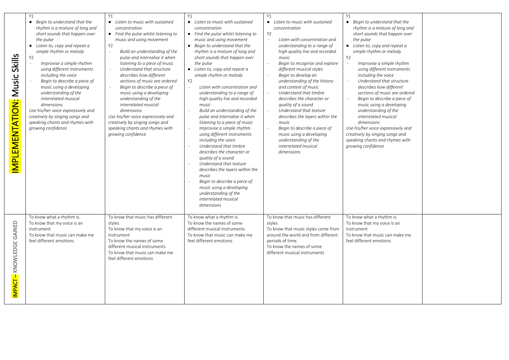| <b>Skills</b><br>Music<br>Ż<br>$\overline{\mathbf{C}}$<br>IMPLEMENTATI | Y1<br>• Begin to understand that the<br>rhythm is a mixture of long and<br>short sounds that happen over<br>the pulse<br>• Listen to, copy and repeat a<br>simple rhythm or melody<br>Y <sub>2</sub><br>Improvise a simple rhythm<br>using different instruments<br>including the voice<br>Begin to describe a piece of<br>music using a developing<br>understanding of the<br>interrelated musical<br>dimensions<br>Use his/her voice expressively and<br>creatively by singing songs and<br>speaking chants and rhymes with<br>growing confidence | Y1<br>• Listen to music with sustained<br>concentration<br>• Find the pulse whilst listening to<br>music and using movement<br>Y2<br>Build an understanding of the<br>pulse and internalise it when<br>listening to a piece of music<br>Understand that structure<br>describes how different<br>sections of music are ordered<br>Begin to describe a piece of<br>music using a developing<br>understanding of the<br>interrelated musical<br>dimensions<br>Use his/her voice expressively and<br>creatively by singing songs and<br>speaking chants and rhymes with<br>growing confidence | Y1<br>• Listen to music with sustained<br>concentration<br>• Find the pulse whilst listening to<br>music and using movement<br>• Begin to understand that the<br>rhythm is a mixture of long and<br>short sounds that happen over<br>the pulse<br>• Listen to, copy and repeat a<br>simple rhythm or melody<br>Y2<br>Listen with concentration and<br>understanding to a range of<br>high-quality live and recorded<br>music<br>Build an understanding of the<br>pulse and internalise it when<br>listening to a piece of music<br>Improvise a simple rhythm<br>using different instruments<br>including the voice<br>Understand that timbre<br>describes the character or<br>quality of a sound<br>Understand that texture<br>describes the layers within the<br>music<br>Begin to describe a piece of<br>music using a developing<br>understanding of the<br>interrelated musical<br>dimensions | Y1<br>Listen to music with sustained<br>concentration<br>Y <sub>2</sub><br>Listen with concentration and<br>understanding to a range of<br>high-quality live and recorded<br>music<br>Begin to recognise and explore<br>different musical styles<br>Begin to develop an<br>understanding of the history<br>and context of music<br>Understand that timbre<br>describes the character or<br>quality of a sound<br>Understand that texture<br>describes the layers within the<br>music<br>Begin to describe a piece of<br>music using a developing<br>understanding of the<br>interrelated musical<br>dimensions | Y1<br>Begin to understand that the<br>rhythm is a mixture of long and<br>short sounds that happen over<br>the pulse<br>• Listen to, copy and repeat a<br>simple rhythm or melody<br>Y2<br>Improvise a simple rhythm<br>using different instruments<br>including the voice<br>Understand that structure<br>describes how different<br>sections of music are ordered<br>Begin to describe a piece of<br>music using a developing<br>understanding of the<br>interrelated musical<br>dimensions<br>Use his/her voice expressively and<br>creatively by singing songs and<br>speaking chants and rhymes with<br>growing confidence |  |
|------------------------------------------------------------------------|-----------------------------------------------------------------------------------------------------------------------------------------------------------------------------------------------------------------------------------------------------------------------------------------------------------------------------------------------------------------------------------------------------------------------------------------------------------------------------------------------------------------------------------------------------|-------------------------------------------------------------------------------------------------------------------------------------------------------------------------------------------------------------------------------------------------------------------------------------------------------------------------------------------------------------------------------------------------------------------------------------------------------------------------------------------------------------------------------------------------------------------------------------------|---------------------------------------------------------------------------------------------------------------------------------------------------------------------------------------------------------------------------------------------------------------------------------------------------------------------------------------------------------------------------------------------------------------------------------------------------------------------------------------------------------------------------------------------------------------------------------------------------------------------------------------------------------------------------------------------------------------------------------------------------------------------------------------------------------------------------------------------------------------------------------------------------|----------------------------------------------------------------------------------------------------------------------------------------------------------------------------------------------------------------------------------------------------------------------------------------------------------------------------------------------------------------------------------------------------------------------------------------------------------------------------------------------------------------------------------------------------------------------------------------------------------------|--------------------------------------------------------------------------------------------------------------------------------------------------------------------------------------------------------------------------------------------------------------------------------------------------------------------------------------------------------------------------------------------------------------------------------------------------------------------------------------------------------------------------------------------------------------------------------------------------------------------------------|--|
| IMPACT – KNOWLEDGE GAINED                                              | To know what a rhythm is.<br>To know that my voice is an<br>instrument<br>To know that music can make me<br>feel different emotions                                                                                                                                                                                                                                                                                                                                                                                                                 | To know that music has different<br>styles<br>To know that my voice is an<br>instrument<br>To know the names of some<br>different musical instruments<br>To know that music can make me<br>feel different emotions                                                                                                                                                                                                                                                                                                                                                                        | To know what a rhythm is.<br>To know the names of some<br>different musical instruments<br>To know that music can make me<br>feel different emotions                                                                                                                                                                                                                                                                                                                                                                                                                                                                                                                                                                                                                                                                                                                                              | To know that music has different<br>styles<br>To know that music styles come from<br>around the world and from different<br>periods of time.<br>To know the names of some<br>different musical instruments                                                                                                                                                                                                                                                                                                                                                                                                     | To know what a rhythm is.<br>To know that my voice is an<br>instrument<br>To know that music can make me<br>feel different emotions                                                                                                                                                                                                                                                                                                                                                                                                                                                                                            |  |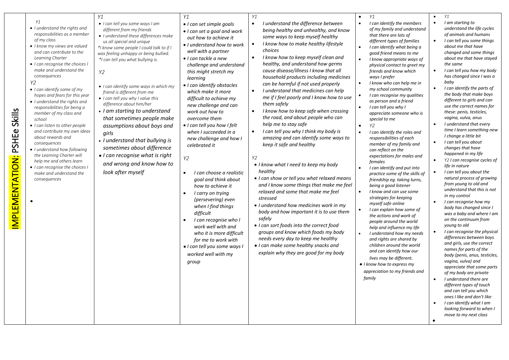| Y1<br>• I understand the rights and<br>responsibilities as a member<br>of my class<br>• I know my views are valued<br>and can contribute to the<br>Learning Charter<br>• I can recognise the choices I<br>make and understand the<br>consequences<br>Y2<br>• I can identify some of my<br>hopes and fears for this year<br>• I understand the rights and<br>responsibilities for being a<br><b>Skills</b><br>member of my class and<br>school<br>• I can listen to other people<br><b>PSHEe</b><br>and contribute my own ideas<br>about rewards and<br>consequences<br>• I understand how following<br>the Learning Charter will<br><b>MPLEMENTATION:</b><br>help me and others learn<br>• I can recognise the choices I<br>make and understand the<br>consequences | Υ1<br>• I can tell you some ways I am<br>different from my friends<br>• I understand these differences make<br>us all special and unique<br>*I know some people I could talk to if I<br>was feeling unhappy or being bullied.<br>*I can tell you what bullying is.<br>Y2<br>• I can identify some ways in which my<br>friend is different from me<br>• I can tell you why I value this<br>difference about him/her<br>• I am starting to understand<br>that sometimes people make<br>assumptions about boys and<br>girls<br>• I understand that bullying is<br>sometimes about difference<br>• I can recognise what is right<br>and wrong and know how to<br>look after myself | Υ1<br>• I can set simple goals<br>• I can set a goal and work<br>out how to achieve it<br>• I understand how to work<br>well with a partner<br>$\bullet$ I can tackle a new<br>challenge and understand<br>this might stretch my<br>learning<br>• I can identify obstacles<br>which make it more<br>difficult to achieve my<br>new challenge and can<br>work out how to<br>overcome them<br>• I can tell you how I felt<br>when I succeeded in a<br>new challenge and how I<br>celebrated it<br>Y2<br>I can choose a realistic<br>goal and think about<br>how to achieve it<br>I carry on trying<br>$\bullet$<br>(persevering) even<br>when I find things<br>difficult<br>I can recognise who I<br>work well with and<br>who it is more difficult<br>for me to work with<br>· I can tell you some ways I<br>worked well with my<br>group | Y1<br>I understand the difference between<br>$\bullet$<br>being healthy and unhealthy, and know<br>some ways to keep myself healthy<br>I know how to make healthy lifestyle<br>$\bullet$<br>choices<br>I know how to keep myself clean and<br>$\bullet$<br>healthy, and understand how germs<br>cause disease/illness I know that all<br>household products including medicines<br>can be harmful if not used properly<br>I understand that medicines can help<br>$\bullet$<br>me if I feel poorly and I know how to use<br>them safely<br>I know how to keep safe when crossing<br>the road, and about people who can<br>help me to stay safe<br>I can tell you why I think my body is<br>$\bullet$<br>amazing and can identify some ways to<br>keep it safe and healthy<br>Y2<br>• I know what I need to keep my body<br>healthy<br>• I can show or tell you what relaxed means<br>and I know some things that make me feel<br>relaxed and some that make me feel<br>stressed<br>• I understand how medicines work in my<br>body and how important it is to use them<br>safely<br>• I can sort foods into the correct food<br>groups and know which foods my body<br>needs every day to keep me healthy<br>• I can make some healthy snacks and<br>explain why they are good for my body | Y1<br>I can identify the members<br>$\bullet$<br>of my family and understand<br>that there are lots of<br>different types of families<br>I can identify what being a<br>good friend means to me<br>I know appropriate ways of<br>physical contact to greet my<br>friends and know which<br>ways I prefer<br>I know who can help me in<br>my school community<br>I can recognise my qualities<br>as person and a friend<br>I can tell you why I<br>appreciate someone who is<br>special to me<br>Y2<br>$\bullet$<br>I can identify the roles and<br>responsibilities of each<br>member of my family and<br>can reflect on the<br>expectations for males and<br>females<br>I can identify and put into<br>practice some of the skills of<br>friendship eg. taking turns,<br>being a good listener<br>I know and can use some<br>strategies for keeping<br>myself safe online<br>I can explain how some of<br>the actions and work of<br>people around the world<br>help and influence my life<br>I understand how my needs<br>and rights are shared by<br>children around the world<br>and can identify how our<br>lives may be different.<br>• I know how to express my<br>appreciation to my friends and<br>family | Υ1<br>I am starting to<br>$\bullet$<br>understand the life cycles<br>of animals and humans<br>I can tell you some things<br>$\bullet$<br>about me that have<br>changed and some things<br>about me that have stayed<br>the same<br>I can tell you how my body<br>$\bullet$<br>has changed since I was a<br>baby<br>I can identify the parts of<br>$\bullet$<br>the body that make boys<br>different to girls and can<br>use the correct names for<br>these: penis, testicles,<br>vagina, vulva, anus<br>$\bullet$<br>I understand that every<br>time I learn something new<br>I change a little bit<br>I can tell you about<br>changes that have<br>happened in my life<br>Y2 I can recognise cycles of<br>$\bullet$<br>life in nature<br>I can tell you about the<br>$\bullet$<br>natural process of growing<br>from young to old and<br>understand that this is not<br>in my control<br>I can recognise how my<br>$\bullet$<br>body has changed since I<br>was a baby and where I am<br>on the continuum from<br>young to old<br>I can recognise the physical<br>differences between boys<br>and girls, use the correct<br>names for parts of the<br>body (penis, anus, testicles,<br>vagina, vulva) and<br>appreciate that some parts<br>of my body are private<br>I understand there are<br>$\bullet$<br>different types of touch<br>and can tell you which<br>ones I like and don't like<br>I can identify what I am<br>looking forward to when I<br>move to my next class |
|---------------------------------------------------------------------------------------------------------------------------------------------------------------------------------------------------------------------------------------------------------------------------------------------------------------------------------------------------------------------------------------------------------------------------------------------------------------------------------------------------------------------------------------------------------------------------------------------------------------------------------------------------------------------------------------------------------------------------------------------------------------------|--------------------------------------------------------------------------------------------------------------------------------------------------------------------------------------------------------------------------------------------------------------------------------------------------------------------------------------------------------------------------------------------------------------------------------------------------------------------------------------------------------------------------------------------------------------------------------------------------------------------------------------------------------------------------------|------------------------------------------------------------------------------------------------------------------------------------------------------------------------------------------------------------------------------------------------------------------------------------------------------------------------------------------------------------------------------------------------------------------------------------------------------------------------------------------------------------------------------------------------------------------------------------------------------------------------------------------------------------------------------------------------------------------------------------------------------------------------------------------------------------------------------------------|--------------------------------------------------------------------------------------------------------------------------------------------------------------------------------------------------------------------------------------------------------------------------------------------------------------------------------------------------------------------------------------------------------------------------------------------------------------------------------------------------------------------------------------------------------------------------------------------------------------------------------------------------------------------------------------------------------------------------------------------------------------------------------------------------------------------------------------------------------------------------------------------------------------------------------------------------------------------------------------------------------------------------------------------------------------------------------------------------------------------------------------------------------------------------------------------------------------------------------------------------------------------------------------------|--------------------------------------------------------------------------------------------------------------------------------------------------------------------------------------------------------------------------------------------------------------------------------------------------------------------------------------------------------------------------------------------------------------------------------------------------------------------------------------------------------------------------------------------------------------------------------------------------------------------------------------------------------------------------------------------------------------------------------------------------------------------------------------------------------------------------------------------------------------------------------------------------------------------------------------------------------------------------------------------------------------------------------------------------------------------------------------------------------------------------------------------------------------------------------------------------------------------|---------------------------------------------------------------------------------------------------------------------------------------------------------------------------------------------------------------------------------------------------------------------------------------------------------------------------------------------------------------------------------------------------------------------------------------------------------------------------------------------------------------------------------------------------------------------------------------------------------------------------------------------------------------------------------------------------------------------------------------------------------------------------------------------------------------------------------------------------------------------------------------------------------------------------------------------------------------------------------------------------------------------------------------------------------------------------------------------------------------------------------------------------------------------------------------------------------------------------------------------------------------------------------------------------------------------------------------------------------------------------------------------------------------------------------------------------------------------------------|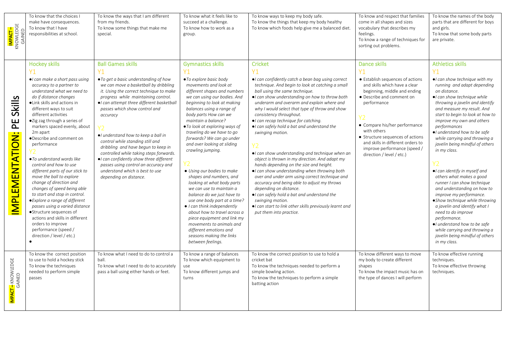| I <mark>mpact –</mark><br>Knowledge<br>Gained | To know that the choices I<br>make have consequences.<br>To know that I have<br>responsibilities at school.                                                                                                                                                                                                                                                                                                                                                                                                                                                                                                                                                                                                                                                                                                       | To know the ways that I am different<br>from my friends.<br>To know some things that make me<br>special.                                                                                                                                                                                                                                                                                                                                                                                                                                                                                                                      | To know what it feels like to<br>succeed at a challenge.<br>To know how to work as a<br>group.                                                                                                                                                                                                                                                                                                                                                                                                                                                                                                                                                                                                                                                                                                                       | To know ways to keep my body safe.<br>To know the things that keep my body healthy<br>To know which foods help give me a balanced diet.                                                                                                                                                                                                                                                                                                                                                                                                                                                                                                                                                                                                                                                                                                                                                                                                         | To know and respect that families<br>come in all shapes and sizes<br>vocabulary that describes my<br>feelings.<br>To know a range of techniques for<br>sorting out problems.                                                                                                                                                                                                       | To know the names of the body<br>parts that are different for boys<br>and girls.<br>To know that some body parts<br>are private.                                                                                                                                                                                                                                                                                                                                                                                                                                                                                                                                                                                                                                                                                     |
|-----------------------------------------------|-------------------------------------------------------------------------------------------------------------------------------------------------------------------------------------------------------------------------------------------------------------------------------------------------------------------------------------------------------------------------------------------------------------------------------------------------------------------------------------------------------------------------------------------------------------------------------------------------------------------------------------------------------------------------------------------------------------------------------------------------------------------------------------------------------------------|-------------------------------------------------------------------------------------------------------------------------------------------------------------------------------------------------------------------------------------------------------------------------------------------------------------------------------------------------------------------------------------------------------------------------------------------------------------------------------------------------------------------------------------------------------------------------------------------------------------------------------|----------------------------------------------------------------------------------------------------------------------------------------------------------------------------------------------------------------------------------------------------------------------------------------------------------------------------------------------------------------------------------------------------------------------------------------------------------------------------------------------------------------------------------------------------------------------------------------------------------------------------------------------------------------------------------------------------------------------------------------------------------------------------------------------------------------------|-------------------------------------------------------------------------------------------------------------------------------------------------------------------------------------------------------------------------------------------------------------------------------------------------------------------------------------------------------------------------------------------------------------------------------------------------------------------------------------------------------------------------------------------------------------------------------------------------------------------------------------------------------------------------------------------------------------------------------------------------------------------------------------------------------------------------------------------------------------------------------------------------------------------------------------------------|------------------------------------------------------------------------------------------------------------------------------------------------------------------------------------------------------------------------------------------------------------------------------------------------------------------------------------------------------------------------------------|----------------------------------------------------------------------------------------------------------------------------------------------------------------------------------------------------------------------------------------------------------------------------------------------------------------------------------------------------------------------------------------------------------------------------------------------------------------------------------------------------------------------------------------------------------------------------------------------------------------------------------------------------------------------------------------------------------------------------------------------------------------------------------------------------------------------|
| Skills<br>E<br>IMPLEMENTATION:                | <b>Hockey skills</b><br><b>Y1</b><br>$\bullet$ can make a short pass using<br>accuracy to a partner to<br>understand what we need to<br>do if distance changes<br>·Link skills and actions in<br>different ways to suit<br>different activities<br>●Zig zag through a series of<br>markers spaced evenly, about<br>2m apart<br>·Describe and comment on<br>performance<br>● To understand words like<br>control and how to use<br>different parts of our stick to<br>move the ball to explore<br>change of direction and<br>changes of speed being able<br>to start and stop in control.<br>• Explore a range of different<br>passes using a varied distance<br>●Structure sequences of<br>actions and skills in different<br>orders to improve<br>performance (speed /<br>direction / level / etc.)<br>$\bullet$ | <b>Ball Games skills</b><br>Y1<br>• To get a basic understanding of how<br>we can move a basketball by dribbling<br>it. Using the correct technique to make<br>progress while maintaining control.<br>• I can attempt three different basketball<br>passes which show control and<br>accuracy<br>Y <sub>2</sub><br>·I understand how to keep a ball in<br>control while standing still and<br>dribbling and have begun to keep in<br>controlled while taking steps forwards.<br>· I can confidently show three different<br>passes using control an accuracy and<br>understand which is best to use<br>depending on distance. | <b>Gymnastics skills</b><br><b>Y1</b><br>• To explore basic body<br>movements and look at<br>different shapes and numbers<br>we can using our bodies. And<br>beginning to look at making<br>balances using a range of<br>body parts How can we<br>maintain a balance?<br>• To look at exploring ways of<br>traveling do we have to go<br>forwards? We can go under<br>and over looking at sliding<br>crawling jumping.<br>• Using our bodies to make<br>shapes and numbers, and<br>looking at what body parts<br>we can use to maintain a<br>balance do we just have to<br>use one body part at a time?<br>$\bullet$ I can think independently<br>about how to travel across a<br>piece equipment and link my<br>movements to animals and<br>different emotions and<br>seasons making the links<br>between feelings. | Cricket<br><b>Y1</b><br>•I can confidently catch a bean bag using correct<br>technique. And begin to look at catching a small<br>ball using the same technique.<br>. I can show understanding on how to throw both<br>underarm and overarm and explain where and<br>why I would select that type of throw and show<br>consistency throughout.<br>•I can recap technique for catching.<br>. I can safely hold a bat and understand the<br>swinging motion.<br>•I can show understanding and technique when an<br>object is thrown in my direction. And adapt my<br>hands depending on the size and height.<br>. I can show understanding when throwing both<br>over and under arm using correct technique and<br>accuracy and being able to adjust my throws<br>depending on distance.<br>·I can safely hold a bat and understand the<br>swinging motion.<br>· I can start to link other skills previously learnt and<br>put them into practice. | <b>Dance skills</b><br>Y1<br>• Establish sequences of actions<br>and skills which have a clear<br>beginning, middle and ending<br>• Describe and comment on<br>performance<br>Y <sub>2</sub><br>• Compare his/her performance<br>with others<br>• Structure sequences of actions<br>and skills in different orders to<br>improve performance (speed /<br>direction / level / etc.) | <b>Athletics skills</b><br><b>Y1</b><br>$\bullet$ can show technique with my<br>running and adapt depending<br>on distance.<br>•I can show technique while<br>throwing a javelin and identify<br>and measure my result. And<br>start to begin to look at how to<br>improve my own and others<br>performances<br>·I understand how to be safe<br>while carrying and throwing a<br>javelin being mindful of others<br>in my class.<br>•I can identify in myself and<br>others what makes a good<br>runner I can show technique<br>and understanding on how to<br>improve my performance.<br>• Show technique while throwing<br>a javelin and identify what I<br>need to do improve<br>performance.<br>•I understand how to be safe<br>while carrying and throwing a<br>javelin being mindful of others<br>in my class. |
| <mark>IMPACT –</mark> KNOWLEDGE<br>GAINED     | To know the correct position<br>to use to hold a hockey stick<br>To know the techniques<br>needed to perform simple<br>passes                                                                                                                                                                                                                                                                                                                                                                                                                                                                                                                                                                                                                                                                                     | To know what I need to do to control a<br>ball.<br>To know what I need to do to accurately<br>pass a ball using either hands or feet.                                                                                                                                                                                                                                                                                                                                                                                                                                                                                         | To know a range of balances<br>To know which equipment to<br>use<br>To know different jumps and<br>turns                                                                                                                                                                                                                                                                                                                                                                                                                                                                                                                                                                                                                                                                                                             | To know the correct position to use to hold a<br>cricket bat<br>To know the techniques needed to perform a<br>simple bowling action.<br>To know the techniques to perform a simple<br>batting action                                                                                                                                                                                                                                                                                                                                                                                                                                                                                                                                                                                                                                                                                                                                            | To know different ways to move<br>my body to create different<br>shapes<br>To know the impact music has on<br>the type of dances I will perform                                                                                                                                                                                                                                    | To know effective running<br>techniques.<br>To know effective throwing<br>techniques.                                                                                                                                                                                                                                                                                                                                                                                                                                                                                                                                                                                                                                                                                                                                |